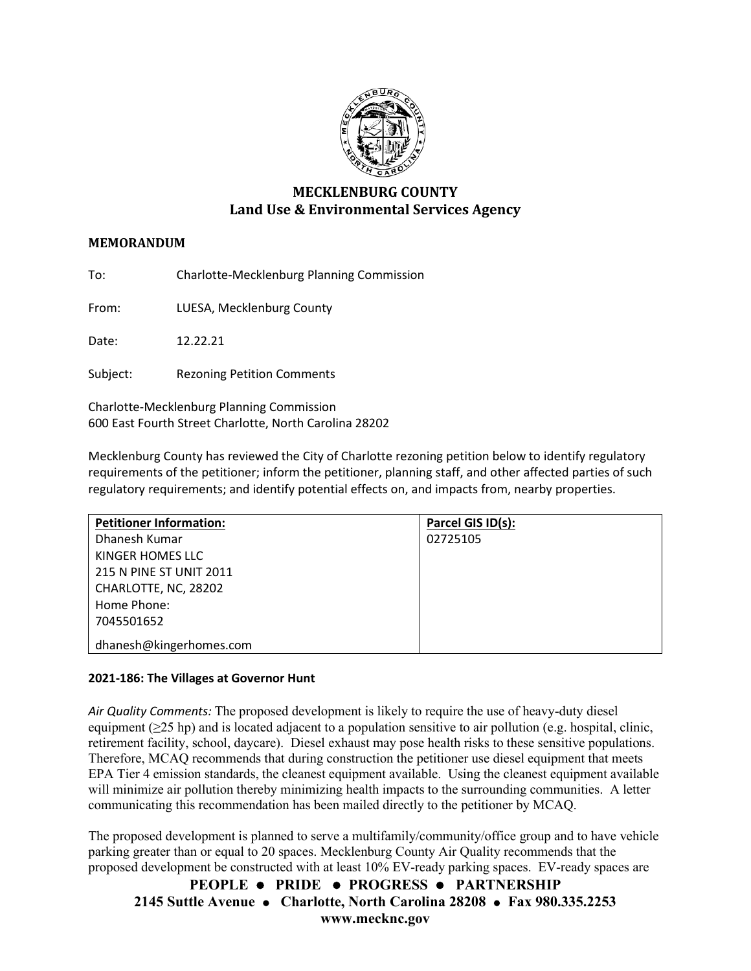

# **MECKLENBURG COUNTY Land Use & Environmental Services Agency**

## **MEMORANDUM**

To: Charlotte-Mecklenburg Planning Commission

From: LUESA, Mecklenburg County

Date: 12.22.21

Subject: Rezoning Petition Comments

Charlotte-Mecklenburg Planning Commission 600 East Fourth Street Charlotte, North Carolina 28202

Mecklenburg County has reviewed the City of Charlotte rezoning petition below to identify regulatory requirements of the petitioner; inform the petitioner, planning staff, and other affected parties of such regulatory requirements; and identify potential effects on, and impacts from, nearby properties.

| <b>Petitioner Information:</b> | Parcel GIS ID(s): |
|--------------------------------|-------------------|
| Dhanesh Kumar                  | 02725105          |
| KINGER HOMES LLC               |                   |
| 215 N PINE ST UNIT 2011        |                   |
| CHARLOTTE, NC, 28202           |                   |
| Home Phone:                    |                   |
| 7045501652                     |                   |
| dhanesh@kingerhomes.com        |                   |

## **2021-186: The Villages at Governor Hunt**

*Air Quality Comments:* The proposed development is likely to require the use of heavy-duty diesel equipment ( $\geq$ 25 hp) and is located adjacent to a population sensitive to air pollution (e.g. hospital, clinic, retirement facility, school, daycare). Diesel exhaust may pose health risks to these sensitive populations. Therefore, MCAQ recommends that during construction the petitioner use diesel equipment that meets EPA Tier 4 emission standards, the cleanest equipment available. Using the cleanest equipment available will minimize air pollution thereby minimizing health impacts to the surrounding communities. A letter communicating this recommendation has been mailed directly to the petitioner by MCAQ.

The proposed development is planned to serve a multifamily/community/office group and to have vehicle parking greater than or equal to 20 spaces. Mecklenburg County Air Quality recommends that the proposed development be constructed with at least 10% EV-ready parking spaces. EV-ready spaces are

**PEOPLE PRIDE PROGRESS PARTNERSHIP 2145 Suttle Avenue Charlotte, North Carolina 28208 Fax 980.335.2253 www.mecknc.gov**